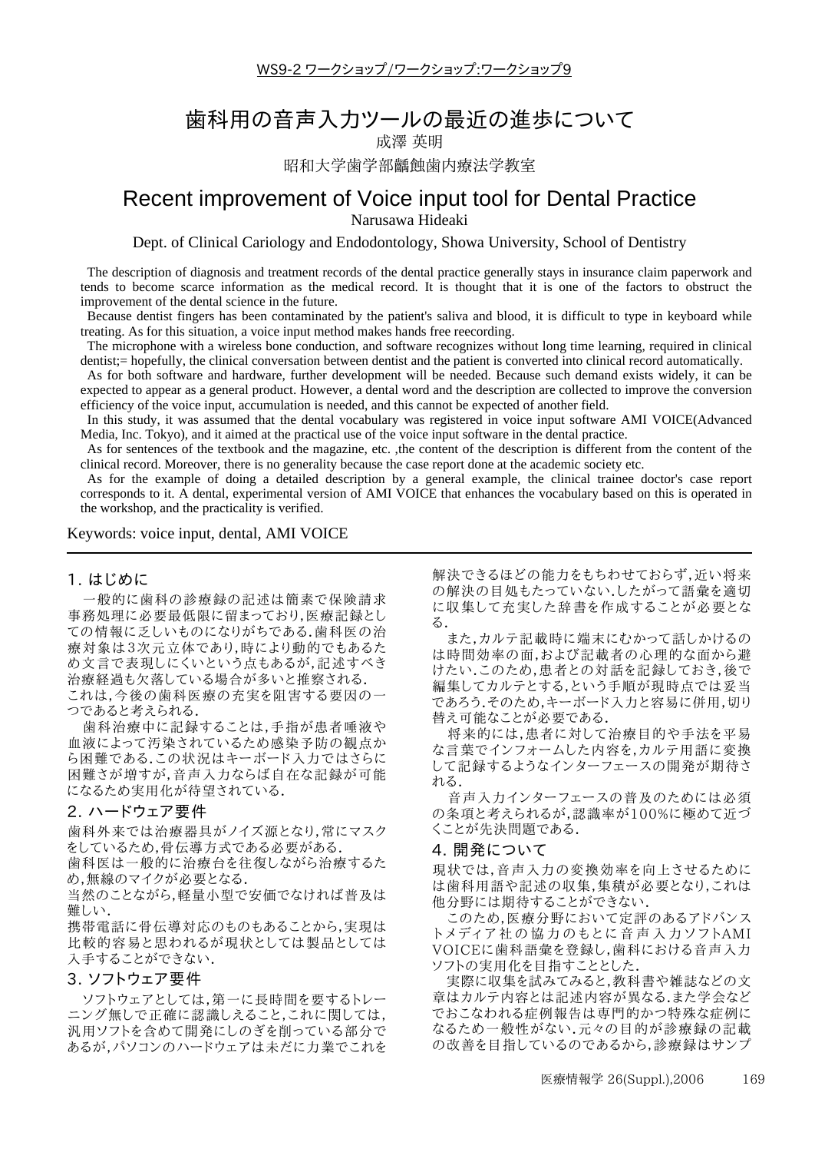$WS9-2$  ワークショップ/ワークショップ:ワークショップ9

# 歯科用の音声入力ツールの最近の進歩について

成澤 英明 昭和大学歯学部齲蝕歯内療法学教室

## Recent improvement of Voice input tool for Dental Practice Narusawa Hideaki

Dept. of Clinical Cariology and Endodontology, Showa University, School of Dentistry

The description of diagnosis and treatment records of the dental practice generally stays in insurance claim paperwork and tends to become scarce information as the medical record. It is thought that it is one of the factors to obstruct the improvement of the dental science in the future.

Because dentist fingers has been contaminated by the patient's saliva and blood, it is difficult to type in keyboard while treating. As for this situation, a voice input method makes hands free reecording.

The microphone with a wireless bone conduction, and software recognizes without long time learning, required in clinical dentist;= hopefully, the clinical conversation between dentist and the patient is converted into clinical record automatically.

As for both software and hardware, further development will be needed. Because such demand exists widely, it can be expected to appear as a general product. However, a dental word and the description are collected to improve the conversion efficiency of the voice input, accumulation is needed, and this cannot be expected of another field.

In this study, it was assumed that the dental vocabulary was registered in voice input software AMI VOICE(Advanced Media, Inc. Tokyo), and it aimed at the practical use of the voice input software in the dental practice.

As for sentences of the textbook and the magazine, etc. ,the content of the description is different from the content of the clinical record. Moreover, there is no generality because the case report done at the academic society etc.

As for the example of doing a detailed description by a general example, the clinical trainee doctor's case report corresponds to it. A dental, experimental version of AMI VOICE that enhances the vocabulary based on this is operated in the workshop, and the practicality is verified.

#### Keywords: voice input, dental, AMI VOICE

#### 1. はじめに

一般的に歯科の診療録の記述は簡素で保険請求 事務処理に必要最低限に留まっており,医療記録とし ての情報に乏しいものになりがちである.歯科医の治 療対象は3次元立体であり,時により動的でもあるた め文言で表現しにくいという点もあるが,記述すべき 治療経過も欠落している場合が多いと推察される. これは,今後の歯科医療の充実を阻害する要因の一

つであると考えられる.

歯科治療中に記録することは,手指が患者唾液や 血液によって汚染されているため感染予防の観点か ら困難である.この状況はキーボード入力ではさらに 困難さが増すが,音声入力ならば自在な記録が可能 になるため実用化が待望されている.

### 2. ハードウェア要件

歯科外来では治療器具がノイズ源となり,常にマスク をしているため,骨伝導方式である必要がある.

歯科医は一般的に治療台を往復しながら治療するた め,無線のマイクが必要となる.

当然のことながら,軽量小型で安価でなければ普及は 難しい.

携帯電話に骨伝導対応のものもあることから,実現は 比較的容易と思われるが現状としては製品としては 入手することができない.

#### 3. ソフトウェア要件

ソフトウェアとしては,第一に長時間を要するトレー ニング無しで正確に認識しえること,これに関しては, 汎用ソフトを含めて開発にしのぎを削っている部分で あるが,パソコンのハードウェアは未だに力業でこれを 解決できるほどの能力をもちわせておらず,近い将来 の解決の目処もたっていない.したがって語彙を適切 に収集して充実した辞書を作成することが必要とな る.

また,カルテ記載時に端末にむかって話しかけるの は時間効率の面,および記載者の心理的な面から避 けたい.このため,患者との対話を記録しておき,後で 編集してカルテとする,という手順が現時点では妥当 であろう.そのため、キーボード入力と容易に併用,切り 替え可能なことが必要である.

将来的には,患者に対して治療目的や手法を平易 な言葉でインフォームした内容を,カルテ用語に変換 して記録するようなインターフェースの開発が期待さ れる.

音声入力インターフェースの普及のためには必須 の条項と考えられるが、認識率が100%に極めて近づ くことが先決問題である.

#### 4. 開発について

現状では,音声入力の変換効率を向上させるために は歯科用語や記述の収集,集積が必要となり,これは 他分野には期待することができない.

このため,医療分野において定評のあるアドバンス トメディア社の協力のもとに音声入力ソフトAMI VOICEに歯科語彙を登録し,歯科における音声入力 ソフトの実用化を目指すこととした.

実際に収集を試みてみると,教科書や雑誌などの文 章はカルテ内容とは記述内容が異なる.また学会など でおこなわれる症例報告は専門的かつ特殊な症例に なるため一般性がない.元々の目的が診療録の記載 の改善を目指しているのであるから,診療録はサンプ